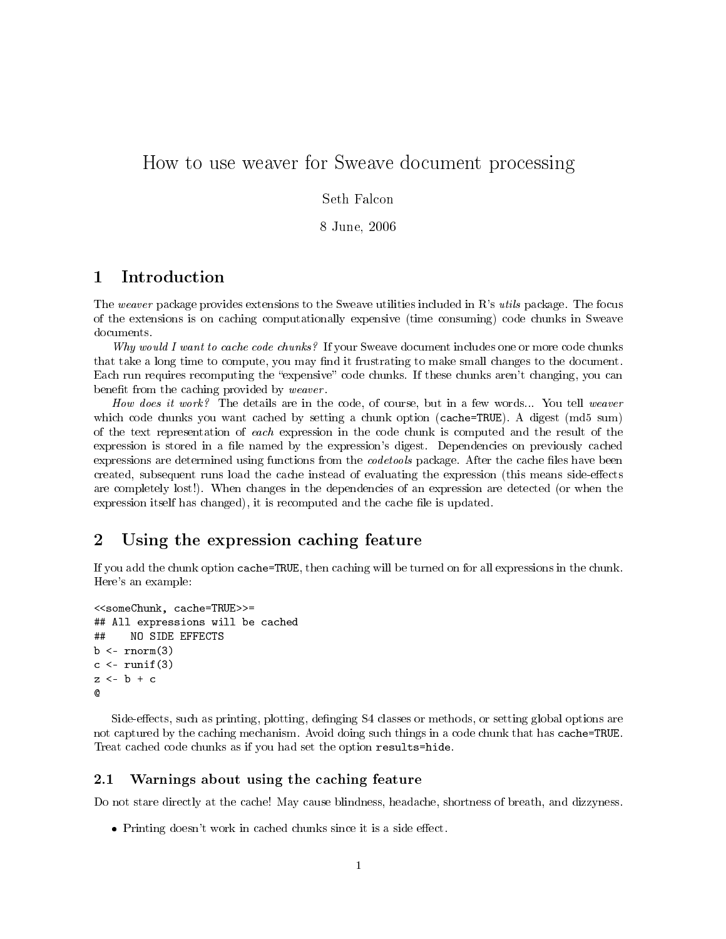# How to use weaver for Sweave document processing

#### Seth Falcon

8 June, 2006

### 1 Introduction

The weaver package provides extensions to the Sweave utilities included in R's utils package. The focus of the extensions is on caching computationally expensive (time consuming) code chunks in Sweave documents.

Why would I want to cache code chunks? If your Sweave document includes one or more code chunks that take a long time to compute, you may find it frustrating to make small changes to the document. Each run requires recomputing the "expensive" code chunks. If these chunks aren't changing, you can benefit from the caching provided by weaver.

How does it work? The details are in the code, of course, but in a few words... You tell weaver which code chunks you want cached by setting a chunk option (cache=TRUE). A digest (md5 sum) of the text representation of each expression in the code chunk is computed and the result of the expression is stored in a file named by the expression's digest. Dependencies on previously cached expressions are determined using functions from the *codetools* package. After the cache files have been created, subsequent runs load the cache instead of evaluating the expression (this means side-effects are completely lost!). When changes in the dependencies of an expression are detected (or when the expression itself has changed), it is recomputed and the cache file is updated.

### 2 Using the expression caching feature

If you add the chunk option cache=TRUE, then caching will be turned on for all expressions in the chunk. Here's an example:

```
<<someChunk, cache=TRUE>>=
## All expressions will be cached
## NO SIDE EFFECTS
b \leftarrow \text{rnorm}(3)c \leftarrow runif(3)z \leftarrow b + c@
```
Side-effects, such as printing, plotting, definging S4 classes or methods, or setting global options are not captured by the caching mechanism. Avoid doing such things in a code chunk that has cache=TRUE. Treat cached code chunks as if you had set the option results=hide.

#### 2.1 Warnings about using the caching feature

Do not stare directly at the cache! May cause blindness, headache, shortness of breath, and dizzyness.

 $\bullet$  Printing doesn't work in cached chunks since it is a side effect.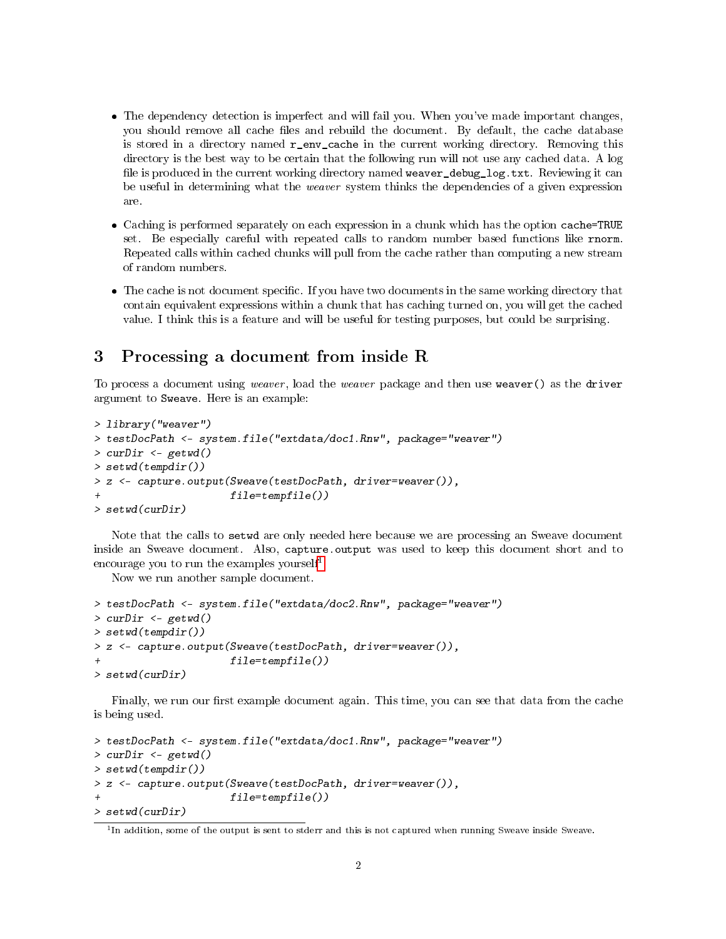- The dependency detection is imperfect and will fail you. When you've made important changes, you should remove all cache files and rebuild the document. By default, the cache database is stored in a directory named  $r_{env}$  cache in the current working directory. Removing this directory is the best way to be certain that the following run will not use any cached data. A log file is produced in the current working directory named weaver\_debug\_log.txt. Reviewing it can be useful in determining what the *weaver* system thinks the dependencies of a given expression are.
- Caching is performed separately on each expression in a chunk which has the option cache=TRUE set. Be especially careful with repeated calls to random number based functions like rnorm. Repeated calls within cached chunks will pull from the cache rather than computing a new stream of random numbers.
- The cache is not document specific. If you have two documents in the same working directory that contain equivalent expressions within a chunk that has caching turned on, you will get the cached value. I think this is a feature and will be useful for testing purposes, but could be surprising.

## 3 Processing a document from inside R

To process a document using weaver , load the weaver package and then use weaver() as the driver argument to Sweave. Here is an example:

```
> library("weaver")
> testDocPath <- system.file("extdata/doc1.Rnw", package="weaver")
> curDir \leq getwd()
> setwd(tempdir())
> z <- capture.output(Sweave(testDocPath, driver=weaver()),
                       file = tempfile())
> setwd(curDir)
```
Note that the calls to setwd are only needed here because we are processing an Sweave document inside an Sweave document. Also, capture.output was used to keep this document short and to encourage you to run the examples yourself<sup>[1](#page-1-0)</sup>

Now we run another sample document.

```
> testDocPath <- system.file("extdata/doc2.Rnw", package="weaver")
> curDir <- getwd()
> setwd(tempdir())
> z <- capture.output(Sweave(testDocPath, driver=weaver()),
                      file = tempfile()> setwd(curDir)
```
Finally, we run our first example document again. This time, you can see that data from the cache is being used.

```
> testDocPath <- system.file("extdata/doc1.Rnw", package="weaver")
> curDir <- getwd()
> setwd(tempdir())
> z <- capture.output(Sweave(testDocPath, driver=weaver()),
                      file = tempfile()> setwd(curDir)
```
<span id="page-1-0"></span><sup>&</sup>lt;sup>1</sup>In addition, some of the output is sent to stderr and this is not captured when running Sweave inside Sweave.